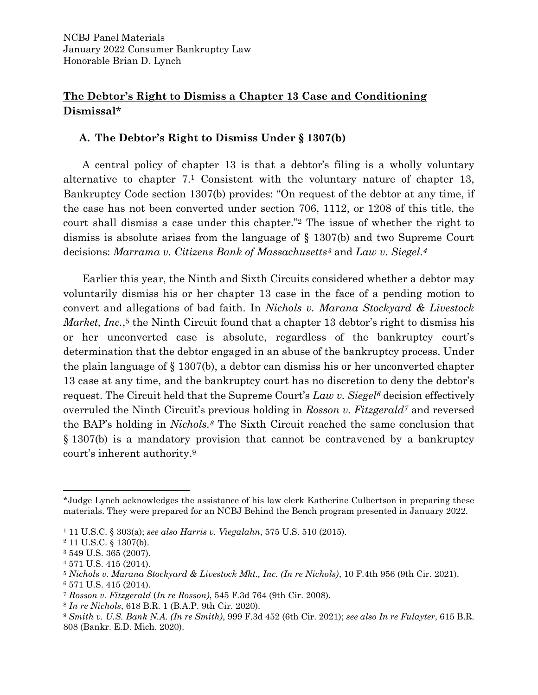## **The Debtor's Right to Dismiss a Chapter 13 Case and Conditioning Dismissal\***

## **A. The Debtor's Right to Dismiss Under § 1307(b)**

A central policy of chapter 13 is that a debtor's filing is a wholly voluntary alternative to chapter 7. <sup>1</sup> Consistent with the voluntary nature of chapter 13, Bankruptcy Code section 1307(b) provides: "On request of the debtor at any time, if the case has not been converted under section 706, 1112, or 1208 of this title, the court shall dismiss a case under this chapter." <sup>2</sup> The issue of whether the right to dismiss is absolute arises from the language of § 1307(b) and two Supreme Court decisions: *Marrama v. Citizens Bank of Massachusetts<sup>3</sup>* and *Law v. Siegel. 4*

Earlier this year, the Ninth and Sixth Circuits considered whether a debtor may voluntarily dismiss his or her chapter 13 case in the face of a pending motion to convert and allegations of bad faith. In *Nichols v. Marana Stockyard & Livestock*  Market, Inc.,<sup>5</sup> the Ninth Circuit found that a chapter 13 debtor's right to dismiss his or her unconverted case is absolute, regardless of the bankruptcy court's determination that the debtor engaged in an abuse of the bankruptcy process. Under the plain language of § 1307(b), a debtor can dismiss his or her unconverted chapter 13 case at any time, and the bankruptcy court has no discretion to deny the debtor's request. The Circuit held that the Supreme Court's *Law v. Siegel<sup>6</sup>* decision effectively overruled the Ninth Circuit's previous holding in *Rosson v. Fitzgerald<sup>7</sup>* and reversed the BAP's holding in *Nichols. <sup>8</sup>* The Sixth Circuit reached the same conclusion that § 1307(b) is a mandatory provision that cannot be contravened by a bankruptcy court's inherent authority. 9

<sup>7</sup> *Rosson v. Fitzgerald* (*In re Rosson)*, 545 F.3d 764 (9th Cir. 2008).

<sup>\*</sup>Judge Lynch acknowledges the assistance of his law clerk Katherine Culbertson in preparing these materials. They were prepared for an NCBJ Behind the Bench program presented in January 2022.

<sup>1</sup> 11 U.S.C. § 303(a); *see also Harris v. Viegalahn*, 575 U.S. 510 (2015).

<sup>2</sup> 11 U.S.C. § 1307(b).

<sup>3</sup> 549 U.S. 365 (2007).

<sup>4</sup> 571 U.S. 415 (2014).

<sup>5</sup> *Nichols v. Marana Stockyard & Livestock Mkt., Inc. (In re Nichols)*, 10 F.4th 956 (9th Cir. 2021). <sup>6</sup> 571 U.S. 415 (2014).

<sup>8</sup> *In re Nichols*, 618 B.R. 1 (B.A.P. 9th Cir. 2020).

<sup>9</sup> *Smith v. U.S. Bank N.A. (In re Smith)*, 999 F.3d 452 (6th Cir. 2021); *see also In re Fulayter*, 615 B.R. 808 (Bankr. E.D. Mich. 2020).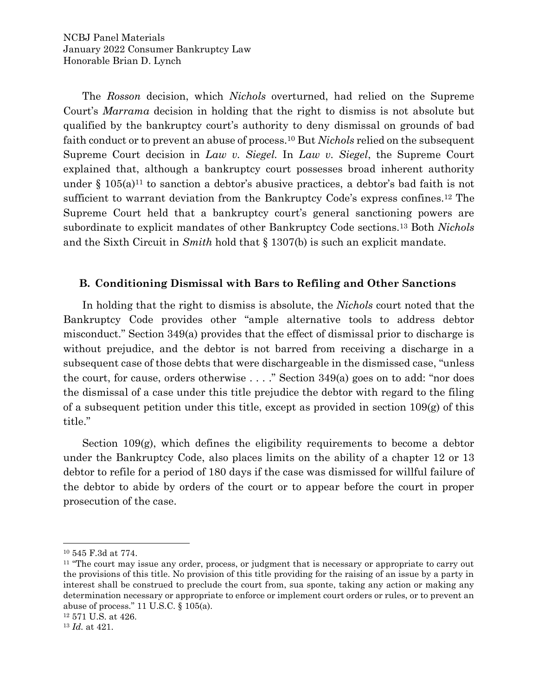The *Rosson* decision, which *Nichols* overturned, had relied on the Supreme Court's *Marrama* decision in holding that the right to dismiss is not absolute but qualified by the bankruptcy court's authority to deny dismissal on grounds of bad faith conduct or to prevent an abuse of process. <sup>10</sup> But *Nichols* relied on the subsequent Supreme Court decision in *Law v. Siegel.* In *Law v. Siegel*, the Supreme Court explained that, although a bankruptcy court possesses broad inherent authority under § 105(a)<sup>11</sup> to sanction a debtor's abusive practices, a debtor's bad faith is not sufficient to warrant deviation from the Bankruptcy Code's express confines. <sup>12</sup> The Supreme Court held that a bankruptcy court's general sanctioning powers are subordinate to explicit mandates of other Bankruptcy Code sections.<sup>13</sup> Both *Nichols*  and the Sixth Circuit in *Smith* hold that § 1307(b) is such an explicit mandate.

## **B. Conditioning Dismissal with Bars to Refiling and Other Sanctions**

In holding that the right to dismiss is absolute, the *Nichols* court noted that the Bankruptcy Code provides other "ample alternative tools to address debtor misconduct." Section 349(a) provides that the effect of dismissal prior to discharge is without prejudice, and the debtor is not barred from receiving a discharge in a subsequent case of those debts that were dischargeable in the dismissed case, "unless the court, for cause, orders otherwise . . . ." Section 349(a) goes on to add: "nor does the dismissal of a case under this title prejudice the debtor with regard to the filing of a subsequent petition under this title, except as provided in section 109(g) of this title."

Section 109(g), which defines the eligibility requirements to become a debtor under the Bankruptcy Code, also places limits on the ability of a chapter 12 or 13 debtor to refile for a period of 180 days if the case was dismissed for willful failure of the debtor to abide by orders of the court or to appear before the court in proper prosecution of the case.

<sup>10</sup> 545 F.3d at 774.

<sup>&</sup>lt;sup>11</sup> "The court may issue any order, process, or judgment that is necessary or appropriate to carry out the provisions of this title. No provision of this title providing for the raising of an issue by a party in interest shall be construed to preclude the court from, sua sponte, taking any action or making any determination necessary or appropriate to enforce or implement court orders or rules, or to prevent an abuse of process." 11 U.S.C.  $\S$  105(a).

<sup>12</sup> 571 U.S. at 426.

<sup>13</sup> *Id.* at 421.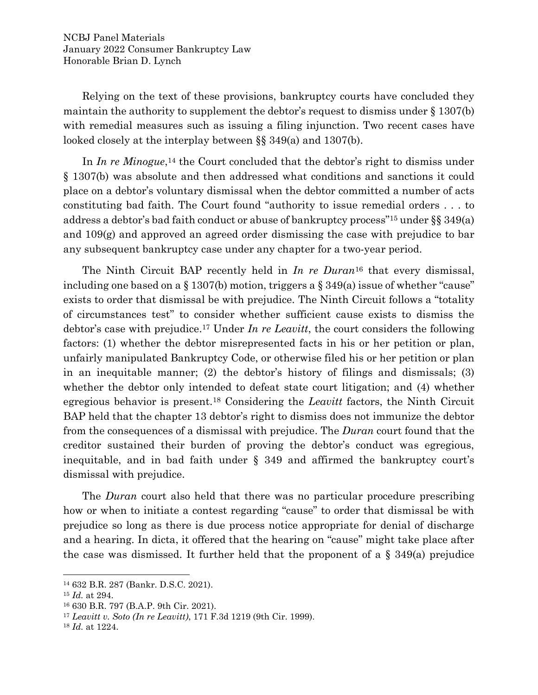NCBJ Panel Materials January 2022 Consumer Bankruptcy Law Honorable Brian D. Lynch

Relying on the text of these provisions, bankruptcy courts have concluded they maintain the authority to supplement the debtor's request to dismiss under  $\S 1307(b)$ with remedial measures such as issuing a filing injunction. Two recent cases have looked closely at the interplay between §§ 349(a) and 1307(b).

In *In re Minogue*,<sup>14</sup> the Court concluded that the debtor's right to dismiss under § 1307(b) was absolute and then addressed what conditions and sanctions it could place on a debtor's voluntary dismissal when the debtor committed a number of acts constituting bad faith. The Court found "authority to issue remedial orders . . . to address a debtor's bad faith conduct or abuse of bankruptcy process"<sup>15</sup> under §§ 349(a) and 109(g) and approved an agreed order dismissing the case with prejudice to bar any subsequent bankruptcy case under any chapter for a two-year period.

The Ninth Circuit BAP recently held in *In re Duran*<sup>16</sup> that every dismissal, including one based on a § 1307(b) motion, triggers a § 349(a) issue of whether "cause" exists to order that dismissal be with prejudice. The Ninth Circuit follows a "totality of circumstances test" to consider whether sufficient cause exists to dismiss the debtor's case with prejudice.<sup>17</sup> Under *In re Leavitt*, the court considers the following factors: (1) whether the debtor misrepresented facts in his or her petition or plan, unfairly manipulated Bankruptcy Code, or otherwise filed his or her petition or plan in an inequitable manner; (2) the debtor's history of filings and dismissals; (3) whether the debtor only intended to defeat state court litigation; and (4) whether egregious behavior is present.<sup>18</sup> Considering the *Leavitt* factors, the Ninth Circuit BAP held that the chapter 13 debtor's right to dismiss does not immunize the debtor from the consequences of a dismissal with prejudice. The *Duran* court found that the creditor sustained their burden of proving the debtor's conduct was egregious, inequitable, and in bad faith under § 349 and affirmed the bankruptcy court's dismissal with prejudice.

The *Duran* court also held that there was no particular procedure prescribing how or when to initiate a contest regarding "cause" to order that dismissal be with prejudice so long as there is due process notice appropriate for denial of discharge and a hearing. In dicta, it offered that the hearing on "cause" might take place after the case was dismissed. It further held that the proponent of a  $\S$  349(a) prejudice

<sup>14</sup> 632 B.R. 287 (Bankr. D.S.C. 2021).

<sup>15</sup> *Id.* at 294.

<sup>16</sup> 630 B.R. 797 (B.A.P. 9th Cir. 2021).

<sup>17</sup> *Leavitt v. Soto (In re Leavitt)*, 171 F.3d 1219 (9th Cir. 1999).

<sup>18</sup> *Id.* at 1224.